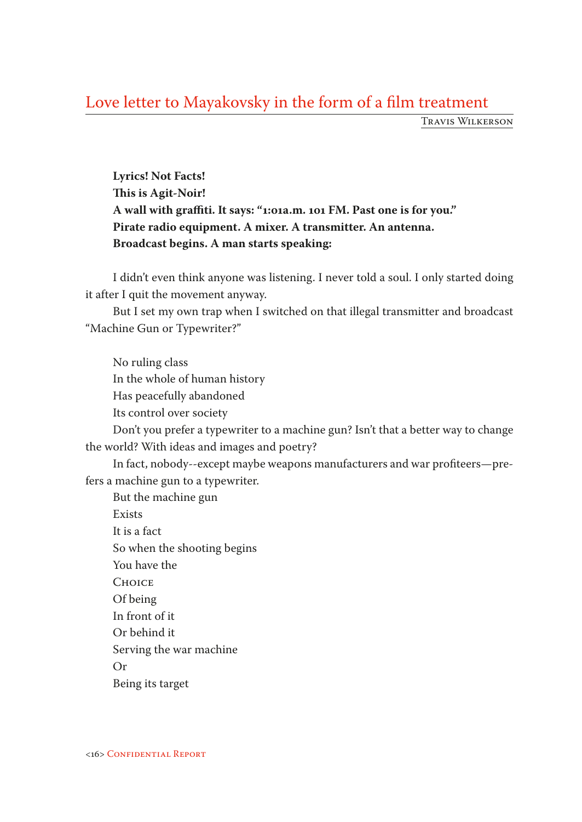## Love letter to Mayakovsky in the form of a film treatment

Travis Wilkerson

**Lyrics! Not Facts! This is Agit-Noir! A wall with graffiti. It says: "1:01a.m. 101 FM. Past one is for you." Pirate radio equipment. A mixer. A transmitter. An antenna. Broadcast begins. A man starts speaking:** 

I didn't even think anyone was listening. I never told a soul. I only started doing it after I quit the movement anyway.

But I set my own trap when I switched on that illegal transmitter and broadcast "Machine Gun or Typewriter?"

No ruling class In the whole of human history Has peacefully abandoned Its control over society Don't you prefer a typewriter to a machine gun? Isn't that a better way to change the world? With ideas and images and poetry? In fact, nobody--except maybe weapons manufacturers and war profiteers—prefers a machine gun to a typewriter. But the machine gun Exists It is a fact So when the shooting begins You have the **CHOICE** Of being In front of it Or behind it Serving the war machine Or

Being its target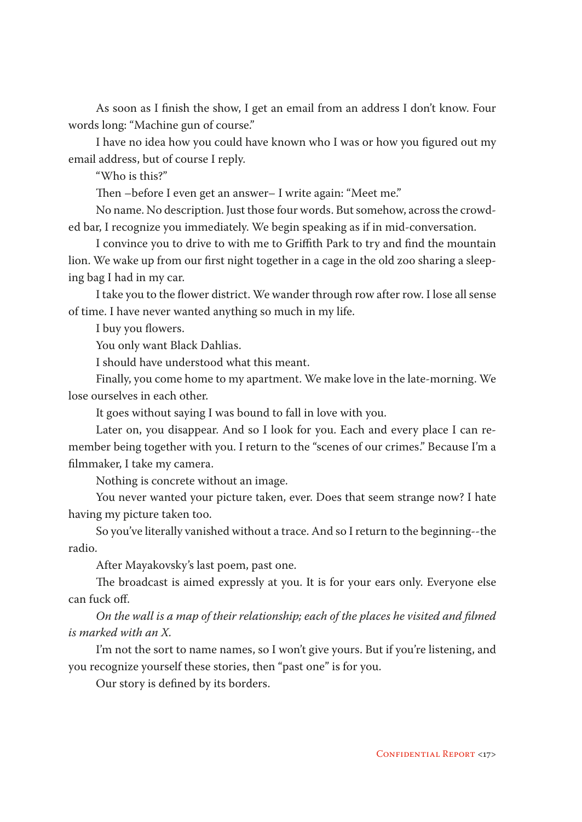As soon as I finish the show, I get an email from an address I don't know. Four words long: "Machine gun of course."

I have no idea how you could have known who I was or how you figured out my email address, but of course I reply.

"Who is this?"

Then –before I even get an answer– I write again: "Meet me."

No name. No description. Just those four words. But somehow, across the crowded bar, I recognize you immediately. We begin speaking as if in mid-conversation.

I convince you to drive to with me to Griffith Park to try and find the mountain lion. We wake up from our first night together in a cage in the old zoo sharing a sleeping bag I had in my car.

I take you to the flower district. We wander through row after row. I lose all sense of time. I have never wanted anything so much in my life.

I buy you flowers.

You only want Black Dahlias.

I should have understood what this meant.

Finally, you come home to my apartment. We make love in the late-morning. We lose ourselves in each other.

It goes without saying I was bound to fall in love with you.

Later on, you disappear. And so I look for you. Each and every place I can remember being together with you. I return to the "scenes of our crimes." Because I'm a filmmaker, I take my camera.

Nothing is concrete without an image.

You never wanted your picture taken, ever. Does that seem strange now? I hate having my picture taken too.

So you've literally vanished without a trace. And so I return to the beginning--the radio.

After Mayakovsky's last poem, past one.

The broadcast is aimed expressly at you. It is for your ears only. Everyone else can fuck off.

*On the wall is a map of their relationship; each of the places he visited and filmed is marked with an X.* 

I'm not the sort to name names, so I won't give yours. But if you're listening, and you recognize yourself these stories, then "past one" is for you.

Our story is defined by its borders.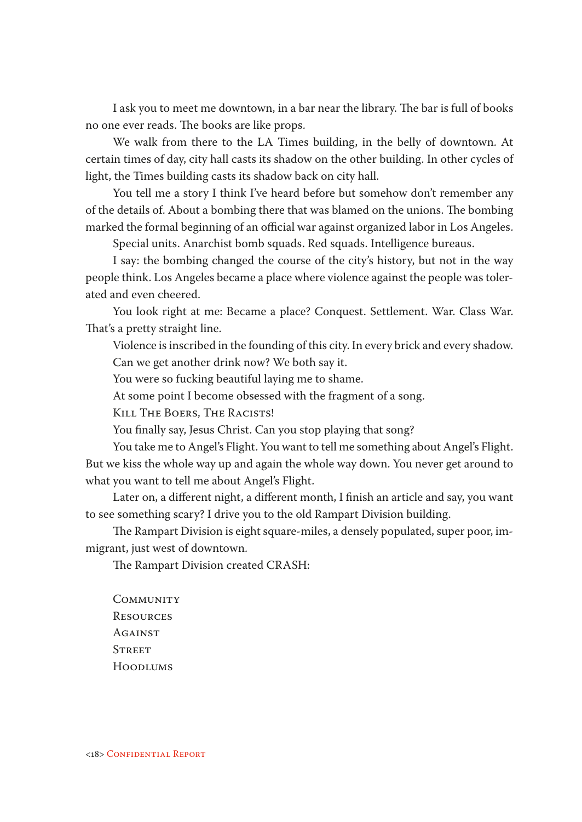I ask you to meet me downtown, in a bar near the library. The bar is full of books no one ever reads. The books are like props.

We walk from there to the LA Times building, in the belly of downtown. At certain times of day, city hall casts its shadow on the other building. In other cycles of light, the Times building casts its shadow back on city hall.

You tell me a story I think I've heard before but somehow don't remember any of the details of. About a bombing there that was blamed on the unions. The bombing marked the formal beginning of an official war against organized labor in Los Angeles.

Special units. Anarchist bomb squads. Red squads. Intelligence bureaus.

I say: the bombing changed the course of the city's history, but not in the way people think. Los Angeles became a place where violence against the people was tolerated and even cheered.

You look right at me: Became a place? Conquest. Settlement. War. Class War. That's a pretty straight line.

Violence is inscribed in the founding of this city. In every brick and every shadow. Can we get another drink now? We both say it.

You were so fucking beautiful laying me to shame.

At some point I become obsessed with the fragment of a song.

Kill The Boers, The Racists!

You finally say, Jesus Christ. Can you stop playing that song?

You take me to Angel's Flight. You want to tell me something about Angel's Flight. But we kiss the whole way up and again the whole way down. You never get around to what you want to tell me about Angel's Flight.

Later on, a different night, a different month, I finish an article and say, you want to see something scary? I drive you to the old Rampart Division building.

The Rampart Division is eight square-miles, a densely populated, super poor, immigrant, just west of downtown.

The Rampart Division created CRASH:

**COMMUNITY RESOURCES AGAINST STREET** Hoodlums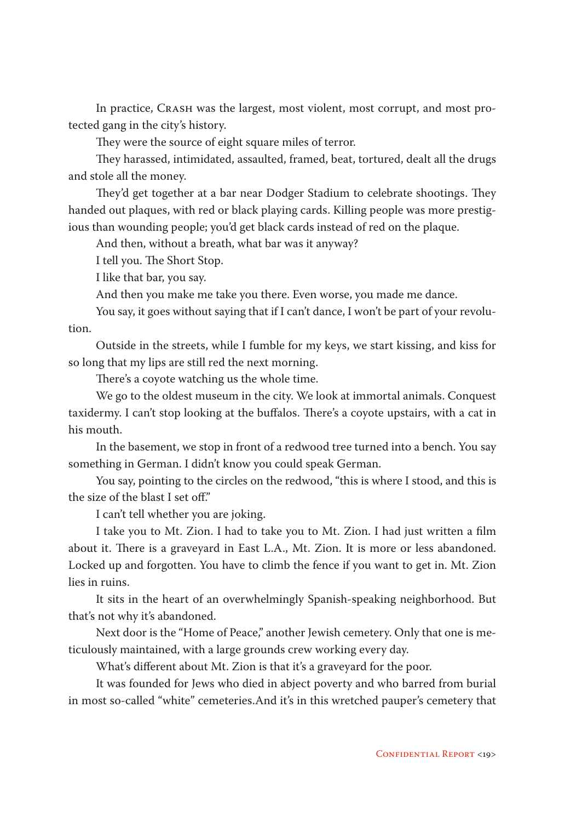In practice, Crash was the largest, most violent, most corrupt, and most protected gang in the city's history.

They were the source of eight square miles of terror.

They harassed, intimidated, assaulted, framed, beat, tortured, dealt all the drugs and stole all the money.

They'd get together at a bar near Dodger Stadium to celebrate shootings. They handed out plaques, with red or black playing cards. Killing people was more prestigious than wounding people; you'd get black cards instead of red on the plaque.

And then, without a breath, what bar was it anyway?

I tell you. The Short Stop.

I like that bar, you say.

And then you make me take you there. Even worse, you made me dance.

You say, it goes without saying that if I can't dance, I won't be part of your revolution.

Outside in the streets, while I fumble for my keys, we start kissing, and kiss for so long that my lips are still red the next morning.

There's a coyote watching us the whole time.

We go to the oldest museum in the city. We look at immortal animals. Conquest taxidermy. I can't stop looking at the buffalos. There's a coyote upstairs, with a cat in his mouth.

In the basement, we stop in front of a redwood tree turned into a bench. You say something in German. I didn't know you could speak German.

You say, pointing to the circles on the redwood, "this is where I stood, and this is the size of the blast I set off."

I can't tell whether you are joking.

I take you to Mt. Zion. I had to take you to Mt. Zion. I had just written a film about it. There is a graveyard in East L.A., Mt. Zion. It is more or less abandoned. Locked up and forgotten. You have to climb the fence if you want to get in. Mt. Zion lies in ruins.

It sits in the heart of an overwhelmingly Spanish-speaking neighborhood. But that's not why it's abandoned.

Next door is the "Home of Peace," another Jewish cemetery. Only that one is meticulously maintained, with a large grounds crew working every day.

What's different about Mt. Zion is that it's a graveyard for the poor.

It was founded for Jews who died in abject poverty and who barred from burial in most so-called "white" cemeteries.And it's in this wretched pauper's cemetery that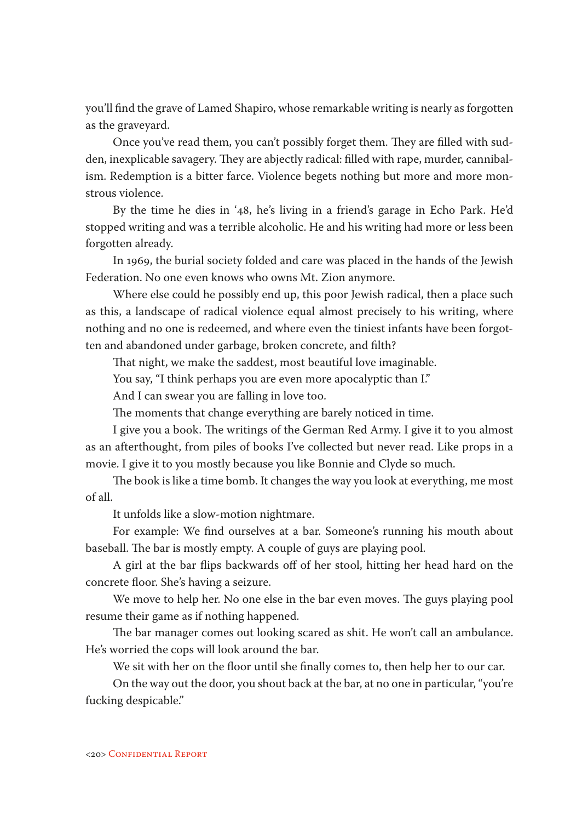you'll find the grave of Lamed Shapiro, whose remarkable writing is nearly as forgotten as the graveyard.

Once you've read them, you can't possibly forget them. They are filled with sudden, inexplicable savagery. They are abjectly radical: filled with rape, murder, cannibalism. Redemption is a bitter farce. Violence begets nothing but more and more monstrous violence.

By the time he dies in '48, he's living in a friend's garage in Echo Park. He'd stopped writing and was a terrible alcoholic. He and his writing had more or less been forgotten already.

In 1969, the burial society folded and care was placed in the hands of the Jewish Federation. No one even knows who owns Mt. Zion anymore.

Where else could he possibly end up, this poor Jewish radical, then a place such as this, a landscape of radical violence equal almost precisely to his writing, where nothing and no one is redeemed, and where even the tiniest infants have been forgotten and abandoned under garbage, broken concrete, and filth?

That night, we make the saddest, most beautiful love imaginable.

You say, "I think perhaps you are even more apocalyptic than I."

And I can swear you are falling in love too.

The moments that change everything are barely noticed in time.

I give you a book. The writings of the German Red Army. I give it to you almost as an afterthought, from piles of books I've collected but never read. Like props in a movie. I give it to you mostly because you like Bonnie and Clyde so much.

The book is like a time bomb. It changes the way you look at everything, me most of all.

It unfolds like a slow-motion nightmare.

For example: We find ourselves at a bar. Someone's running his mouth about baseball. The bar is mostly empty. A couple of guys are playing pool.

A girl at the bar flips backwards off of her stool, hitting her head hard on the concrete floor. She's having a seizure.

We move to help her. No one else in the bar even moves. The guys playing pool resume their game as if nothing happened.

The bar manager comes out looking scared as shit. He won't call an ambulance. He's worried the cops will look around the bar.

We sit with her on the floor until she finally comes to, then help her to our car.

On the way out the door, you shout back at the bar, at no one in particular, "you're fucking despicable."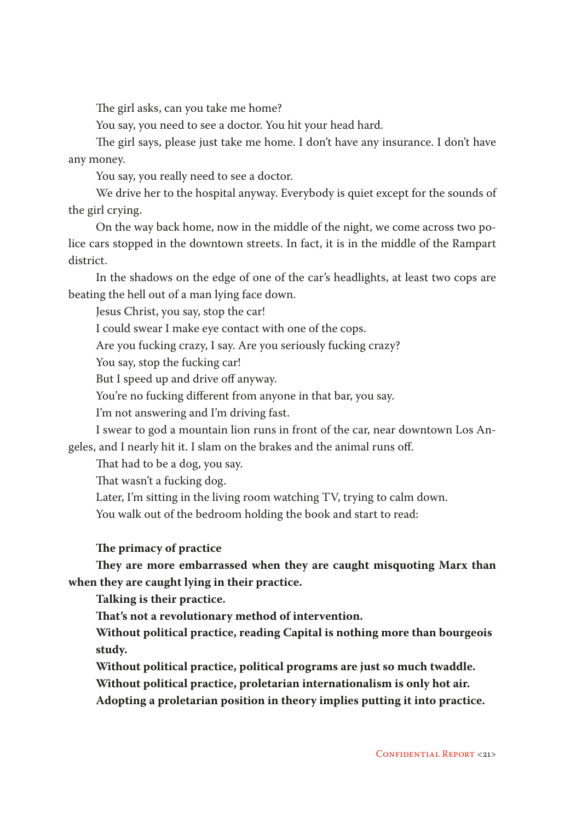The girl asks, can you take me home?

You say, you need to see a doctor. You hit your head hard.

The girl says, please just take me home. I don't have any insurance. I don't have any money.

You say, you really need to see a doctor.

We drive her to the hospital anyway. Everybody is quiet except for the sounds of the girl crying.

On the way back home, now in the middle of the night, we come across two police cars stopped in the downtown streets. In fact, it is in the middle of the Rampart district.

In the shadows on the edge of one of the car's headlights, at least two cops are beating the hell out of a man lying face down.

Jesus Christ, you say, stop the car!

I could swear I make eye contact with one of the cops.

Are you fucking crazy, I say. Are you seriously fucking crazy?

You say, stop the fucking car!

But I speed up and drive off anyway.

You're no fucking different from anyone in that bar, you say.

I'm not answering and I'm driving fast.

I swear to god a mountain lion runs in front of the car, near downtown Los Angeles, and I nearly hit it. I slam on the brakes and the animal runs off.

That had to be a dog, you say.

That wasn't a fucking dog.

Later, I'm sitting in the living room watching TV, trying to calm down.

You walk out of the bedroom holding the book and start to read:

## **The primacy of practice**

**They are more embarrassed when they are caught misquoting Marx than when they are caught lying in their practice.** 

**Talking is their practice.** 

**That's not a revolutionary method of intervention.**

**Without political practice, reading Capital is nothing more than bourgeois study.** 

**Without political practice, political programs are just so much twaddle.** 

**Without political practice, proletarian internationalism is only hot air.** 

**Adopting a proletarian position in theory implies putting it into practice.**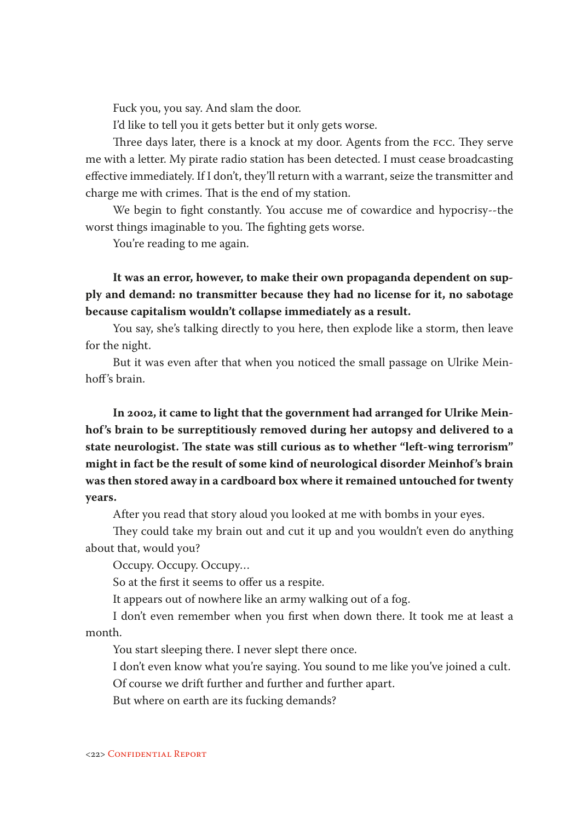Fuck you, you say. And slam the door.

I'd like to tell you it gets better but it only gets worse.

Three days later, there is a knock at my door. Agents from the fcc. They serve me with a letter. My pirate radio station has been detected. I must cease broadcasting effective immediately. If I don't, they'll return with a warrant, seize the transmitter and charge me with crimes. That is the end of my station.

We begin to fight constantly. You accuse me of cowardice and hypocrisy--the worst things imaginable to you. The fighting gets worse.

You're reading to me again.

**It was an error, however, to make their own propaganda dependent on supply and demand: no transmitter because they had no license for it, no sabotage because capitalism wouldn't collapse immediately as a result.**

You say, she's talking directly to you here, then explode like a storm, then leave for the night.

But it was even after that when you noticed the small passage on Ulrike Meinhoff's brain.

**In 2002, it came to light that the government had arranged for Ulrike Meinhof's brain to be surreptitiously removed during her autopsy and delivered to a state neurologist. The state was still curious as to whether "left-wing terrorism" might in fact be the result of some kind of neurological disorder Meinhof's brain was then stored away in a cardboard box where it remained untouched for twenty years.** 

After you read that story aloud you looked at me with bombs in your eyes.

They could take my brain out and cut it up and you wouldn't even do anything about that, would you?

Occupy. Occupy. Occupy…

So at the first it seems to offer us a respite.

It appears out of nowhere like an army walking out of a fog.

I don't even remember when you first when down there. It took me at least a month.

You start sleeping there. I never slept there once.

I don't even know what you're saying. You sound to me like you've joined a cult. Of course we drift further and further and further apart.

But where on earth are its fucking demands?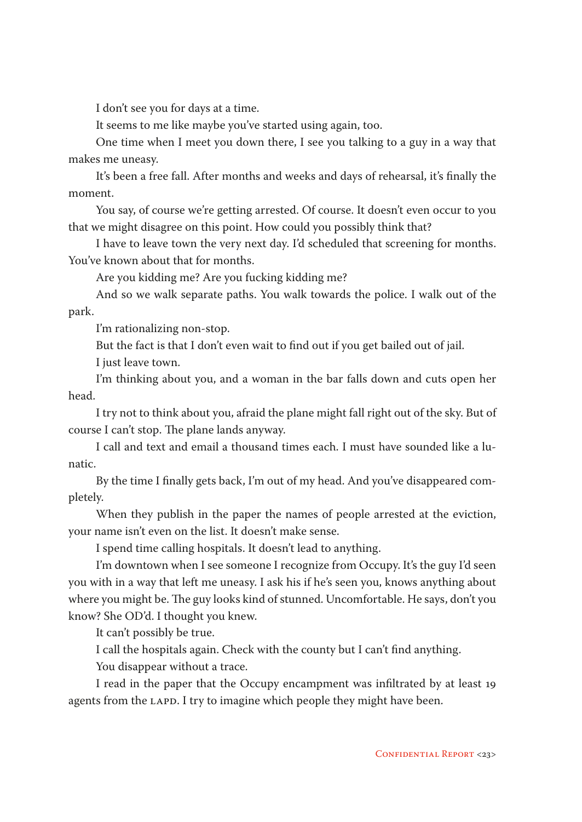I don't see you for days at a time.

It seems to me like maybe you've started using again, too.

One time when I meet you down there, I see you talking to a guy in a way that makes me uneasy.

It's been a free fall. After months and weeks and days of rehearsal, it's finally the moment.

You say, of course we're getting arrested. Of course. It doesn't even occur to you that we might disagree on this point. How could you possibly think that?

I have to leave town the very next day. I'd scheduled that screening for months. You've known about that for months.

Are you kidding me? Are you fucking kidding me?

And so we walk separate paths. You walk towards the police. I walk out of the park.

I'm rationalizing non-stop.

But the fact is that I don't even wait to find out if you get bailed out of jail.

I just leave town.

I'm thinking about you, and a woman in the bar falls down and cuts open her head.

I try not to think about you, afraid the plane might fall right out of the sky. But of course I can't stop. The plane lands anyway.

I call and text and email a thousand times each. I must have sounded like a lunatic.

By the time I finally gets back, I'm out of my head. And you've disappeared completely.

When they publish in the paper the names of people arrested at the eviction, your name isn't even on the list. It doesn't make sense.

I spend time calling hospitals. It doesn't lead to anything.

I'm downtown when I see someone I recognize from Occupy. It's the guy I'd seen you with in a way that left me uneasy. I ask his if he's seen you, knows anything about where you might be. The guy looks kind of stunned. Uncomfortable. He says, don't you know? She OD'd. I thought you knew.

It can't possibly be true.

I call the hospitals again. Check with the county but I can't find anything.

You disappear without a trace.

I read in the paper that the Occupy encampment was infiltrated by at least 19 agents from the LAPD. I try to imagine which people they might have been.